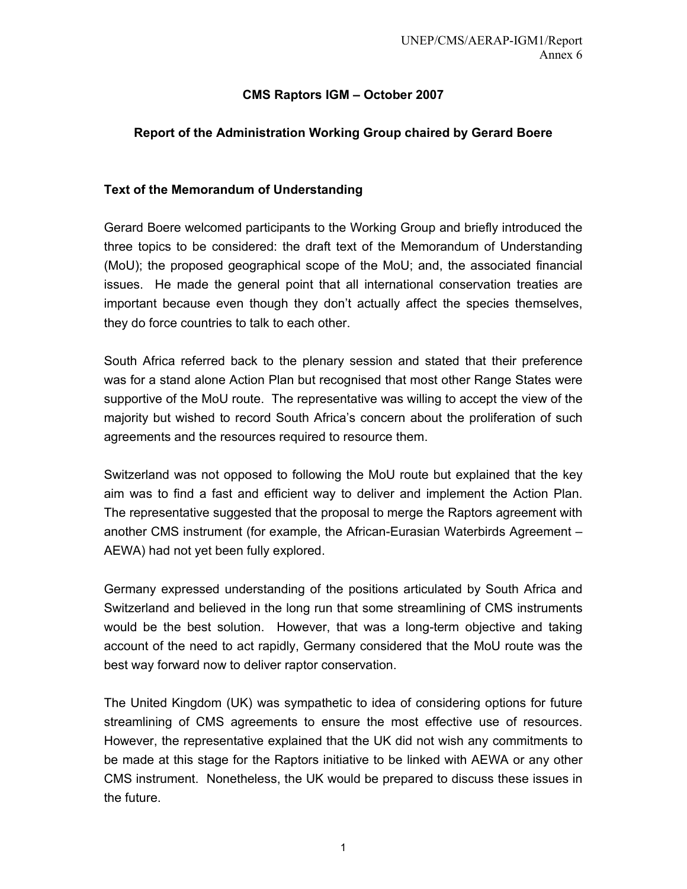# **CMS Raptors IGM – October 2007**

## **Report of the Administration Working Group chaired by Gerard Boere**

#### **Text of the Memorandum of Understanding**

Gerard Boere welcomed participants to the Working Group and briefly introduced the three topics to be considered: the draft text of the Memorandum of Understanding (MoU); the proposed geographical scope of the MoU; and, the associated financial issues. He made the general point that all international conservation treaties are important because even though they don't actually affect the species themselves, they do force countries to talk to each other.

South Africa referred back to the plenary session and stated that their preference was for a stand alone Action Plan but recognised that most other Range States were supportive of the MoU route. The representative was willing to accept the view of the majority but wished to record South Africa's concern about the proliferation of such agreements and the resources required to resource them.

Switzerland was not opposed to following the MoU route but explained that the key aim was to find a fast and efficient way to deliver and implement the Action Plan. The representative suggested that the proposal to merge the Raptors agreement with another CMS instrument (for example, the African-Eurasian Waterbirds Agreement – AEWA) had not yet been fully explored.

Germany expressed understanding of the positions articulated by South Africa and Switzerland and believed in the long run that some streamlining of CMS instruments would be the best solution. However, that was a long-term objective and taking account of the need to act rapidly, Germany considered that the MoU route was the best way forward now to deliver raptor conservation.

The United Kingdom (UK) was sympathetic to idea of considering options for future streamlining of CMS agreements to ensure the most effective use of resources. However, the representative explained that the UK did not wish any commitments to be made at this stage for the Raptors initiative to be linked with AEWA or any other CMS instrument. Nonetheless, the UK would be prepared to discuss these issues in the future.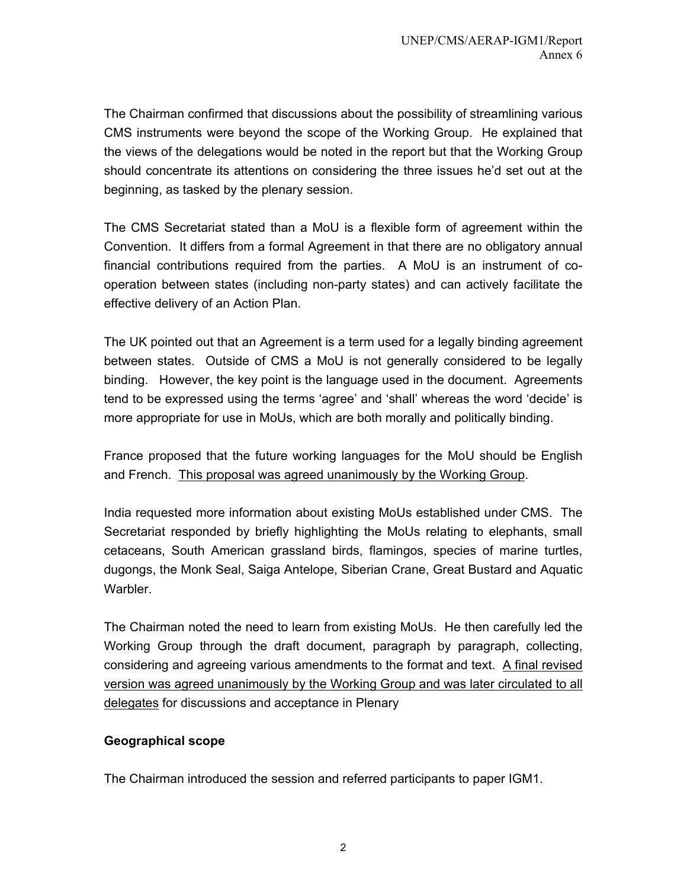The Chairman confirmed that discussions about the possibility of streamlining various CMS instruments were beyond the scope of the Working Group. He explained that the views of the delegations would be noted in the report but that the Working Group should concentrate its attentions on considering the three issues he'd set out at the beginning, as tasked by the plenary session.

The CMS Secretariat stated than a MoU is a flexible form of agreement within the Convention. It differs from a formal Agreement in that there are no obligatory annual financial contributions required from the parties. A MoU is an instrument of cooperation between states (including non-party states) and can actively facilitate the effective delivery of an Action Plan.

The UK pointed out that an Agreement is a term used for a legally binding agreement between states. Outside of CMS a MoU is not generally considered to be legally binding. However, the key point is the language used in the document. Agreements tend to be expressed using the terms 'agree' and 'shall' whereas the word 'decide' is more appropriate for use in MoUs, which are both morally and politically binding.

France proposed that the future working languages for the MoU should be English and French. This proposal was agreed unanimously by the Working Group.

India requested more information about existing MoUs established under CMS. The Secretariat responded by briefly highlighting the MoUs relating to elephants, small cetaceans, South American grassland birds, flamingos, species of marine turtles, dugongs, the Monk Seal, Saiga Antelope, Siberian Crane, Great Bustard and Aquatic Warbler.

The Chairman noted the need to learn from existing MoUs. He then carefully led the Working Group through the draft document, paragraph by paragraph, collecting, considering and agreeing various amendments to the format and text. A final revised version was agreed unanimously by the Working Group and was later circulated to all delegates for discussions and acceptance in Plenary

## **Geographical scope**

The Chairman introduced the session and referred participants to paper IGM1.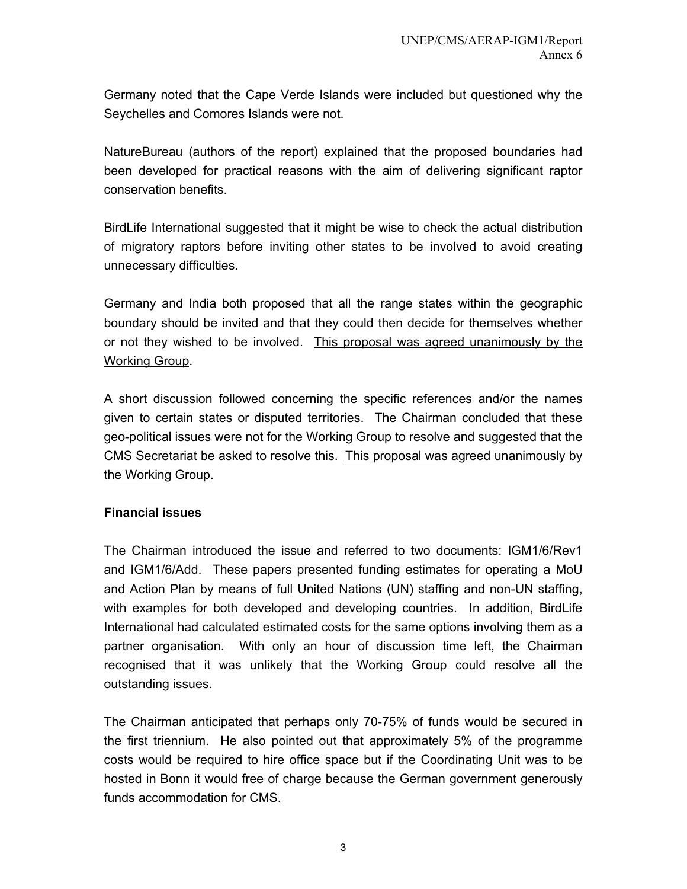Germany noted that the Cape Verde Islands were included but questioned why the Seychelles and Comores Islands were not.

NatureBureau (authors of the report) explained that the proposed boundaries had been developed for practical reasons with the aim of delivering significant raptor conservation benefits.

BirdLife International suggested that it might be wise to check the actual distribution of migratory raptors before inviting other states to be involved to avoid creating unnecessary difficulties.

Germany and India both proposed that all the range states within the geographic boundary should be invited and that they could then decide for themselves whether or not they wished to be involved. This proposal was agreed unanimously by the Working Group.

A short discussion followed concerning the specific references and/or the names given to certain states or disputed territories. The Chairman concluded that these geo-political issues were not for the Working Group to resolve and suggested that the CMS Secretariat be asked to resolve this. This proposal was agreed unanimously by the Working Group.

## **Financial issues**

The Chairman introduced the issue and referred to two documents: IGM1/6/Rev1 and IGM1/6/Add. These papers presented funding estimates for operating a MoU and Action Plan by means of full United Nations (UN) staffing and non-UN staffing, with examples for both developed and developing countries. In addition, BirdLife International had calculated estimated costs for the same options involving them as a partner organisation. With only an hour of discussion time left, the Chairman recognised that it was unlikely that the Working Group could resolve all the outstanding issues.

The Chairman anticipated that perhaps only 70-75% of funds would be secured in the first triennium. He also pointed out that approximately 5% of the programme costs would be required to hire office space but if the Coordinating Unit was to be hosted in Bonn it would free of charge because the German government generously funds accommodation for CMS.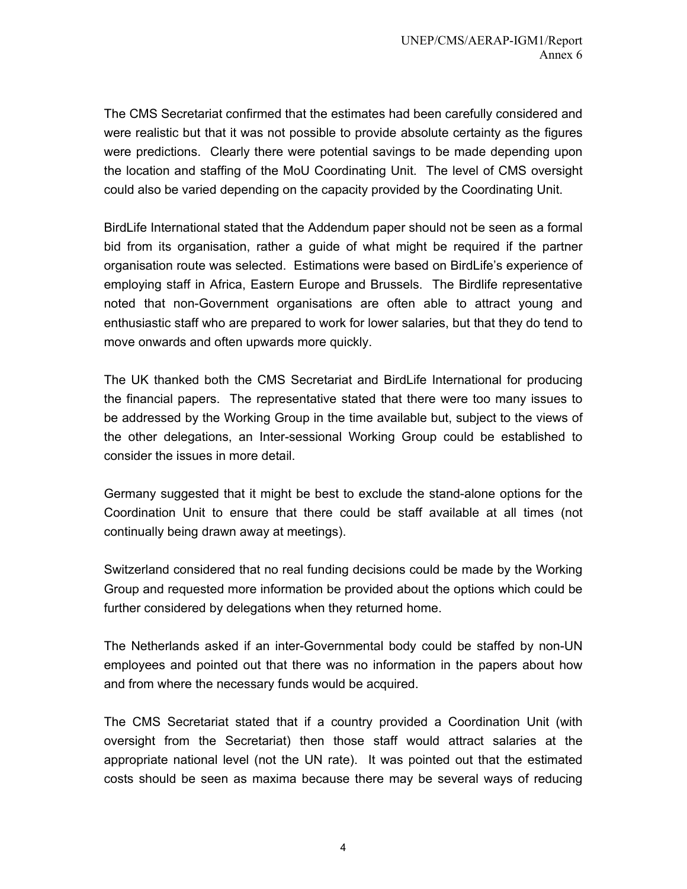The CMS Secretariat confirmed that the estimates had been carefully considered and were realistic but that it was not possible to provide absolute certainty as the figures were predictions. Clearly there were potential savings to be made depending upon the location and staffing of the MoU Coordinating Unit. The level of CMS oversight could also be varied depending on the capacity provided by the Coordinating Unit.

BirdLife International stated that the Addendum paper should not be seen as a formal bid from its organisation, rather a guide of what might be required if the partner organisation route was selected. Estimations were based on BirdLife's experience of employing staff in Africa, Eastern Europe and Brussels. The Birdlife representative noted that non-Government organisations are often able to attract young and enthusiastic staff who are prepared to work for lower salaries, but that they do tend to move onwards and often upwards more quickly.

The UK thanked both the CMS Secretariat and BirdLife International for producing the financial papers. The representative stated that there were too many issues to be addressed by the Working Group in the time available but, subject to the views of the other delegations, an Inter-sessional Working Group could be established to consider the issues in more detail.

Germany suggested that it might be best to exclude the stand-alone options for the Coordination Unit to ensure that there could be staff available at all times (not continually being drawn away at meetings).

Switzerland considered that no real funding decisions could be made by the Working Group and requested more information be provided about the options which could be further considered by delegations when they returned home.

The Netherlands asked if an inter-Governmental body could be staffed by non-UN employees and pointed out that there was no information in the papers about how and from where the necessary funds would be acquired.

The CMS Secretariat stated that if a country provided a Coordination Unit (with oversight from the Secretariat) then those staff would attract salaries at the appropriate national level (not the UN rate). It was pointed out that the estimated costs should be seen as maxima because there may be several ways of reducing